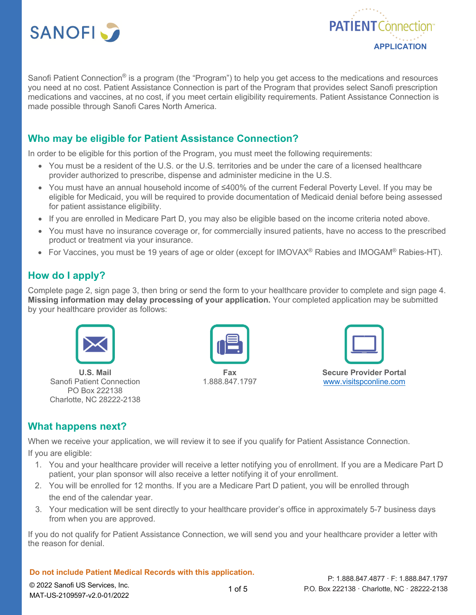



Sanofi Patient Connection<sup>®</sup> is a program (the "Program") to help you get access to the medications and resources you need at no cost. Patient Assistance Connection is part of the Program that provides select Sanofi prescription medications and vaccines, at no cost, if you meet certain eligibility requirements. Patient Assistance Connection is made possible through Sanofi Cares North America.

# **Who may be eligible for Patient Assistance Connection?**

In order to be eligible for this portion of the Program, you must meet the following requirements:

- You must be a resident of the U.S. or the U.S. territories and be under the care of a licensed healthcare provider authorized to prescribe, dispense and administer medicine in the U.S.
- You must have an annual household income of ≤400% of the current Federal Poverty Level. If you may be eligible for Medicaid, you will be required to provide documentation of Medicaid denial before being assessed for patient assistance eligibility.
- If you are enrolled in Medicare Part D, you may also be eligible based on the income criteria noted above.
- You must have no insurance coverage or, for commercially insured patients, have no access to the prescribed product or treatment via your insurance.
- For Vaccines, you must be 19 years of age or older (except for IMOVAX<sup>®</sup> Rabies and IMOGAM<sup>®</sup> Rabies-HT).

# **How do I apply?**

Complete page 2, sign page 3, then bring or send the form to your healthcare provider to complete and sign page 4. **Missing information may delay processing of your application.** Your completed application may be submitted by your healthcare provider as follows:



**U.S. Mail** Sanofi Patient Connection PO Box 222138 Charlotte, NC 28222-2138



**Fax** 1.888.847.1797



**Secure Provider Portal** www.visitspconline.com

# **What happens next?**

When we receive your application, we will review it to see if you qualify for Patient Assistance Connection. If you are eligible:

- 1. You and your healthcare provider will receive a letter notifying you of enrollment. If you are a Medicare Part D patient, your plan sponsor will also receive a letter notifying it of your enrollment.
- 2. You will be enrolled for 12 months. If you are a Medicare Part D patient, you will be enrolled through the end of the calendar year.
- 3. Your medication will be sent directly to your healthcare provider's office in approximately 5-7 business days from when you are approved.

If you do not qualify for Patient Assistance Connection, we will send you and your healthcare provider a letter with the reason for denial.

## **Do not include Patient Medical Records with this application.**

© 2022 Sanofi US Services, Inc. MAT-US-2109597-v2.0-01/2022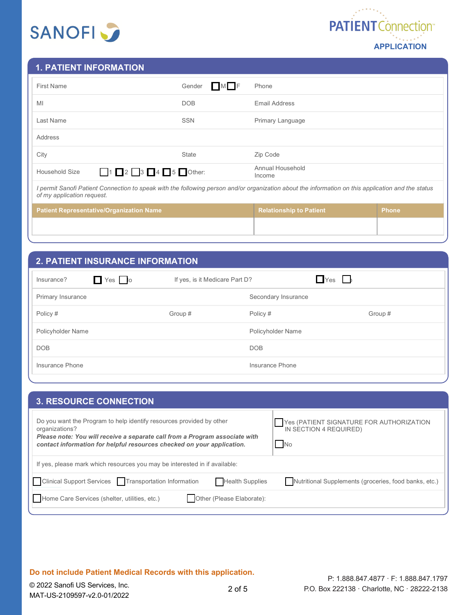



## **1. PATIENT INFORMATION**

| <b>First Name</b>                                                                                                                                                                | Gender<br>MI F | Phone                          |              |
|----------------------------------------------------------------------------------------------------------------------------------------------------------------------------------|----------------|--------------------------------|--------------|
| MI                                                                                                                                                                               | DOB            | Email Address                  |              |
| Last Name                                                                                                                                                                        | <b>SSN</b>     | Primary Language               |              |
| Address                                                                                                                                                                          |                |                                |              |
| City                                                                                                                                                                             | <b>State</b>   | Zip Code                       |              |
| $123455$ Other:<br>Household Size                                                                                                                                                |                | Annual Household<br>Income     |              |
| I permit Sanofi Patient Connection to speak with the following person and/or organization about the information on this application and the status<br>of my application request. |                |                                |              |
| <b>Patient Representative/Organization Name</b>                                                                                                                                  |                | <b>Relationship to Patient</b> | <b>Phone</b> |
|                                                                                                                                                                                  |                |                                |              |

## **2. PATIENT INSURANCE INFORMATION**

| $\Box$ Yes $\Box$ lo<br>Insurance? | If yes, is it Medicare Part D? | $Yes$ $\Box$        |         |
|------------------------------------|--------------------------------|---------------------|---------|
| Primary Insurance                  |                                | Secondary Insurance |         |
| Policy #                           | Group #                        | Policy #            | Group # |
| Policyholder Name                  |                                | Policyholder Name   |         |
| <b>DOB</b>                         |                                | <b>DOB</b>          |         |
| Insurance Phone                    |                                | Insurance Phone     |         |

| <b>3. RESOURCE CONNECTION</b>                                                                                                                                                                                                                   |                                                                                 |
|-------------------------------------------------------------------------------------------------------------------------------------------------------------------------------------------------------------------------------------------------|---------------------------------------------------------------------------------|
| Do you want the Program to help identify resources provided by other<br>organizations?<br>Please note: You will receive a separate call from a Program associate with<br>contact information for helpful resources checked on your application. | Yes (PATIENT SIGNATURE FOR AUTHORIZATION<br>IN SECTION 4 REQUIRED)<br><b>No</b> |
| If yes, please mark which resources you may be interested in if available:                                                                                                                                                                      |                                                                                 |
| Clinical Support Services <b>Transportation Information</b><br><b>Health Supplies</b>                                                                                                                                                           | Nutritional Supplements (groceries, food banks, etc.)                           |
| Home Care Services (shelter, utilities, etc.)<br>Other (Please Elaborate):                                                                                                                                                                      |                                                                                 |

**Do not include Patient Medical Records with this application.**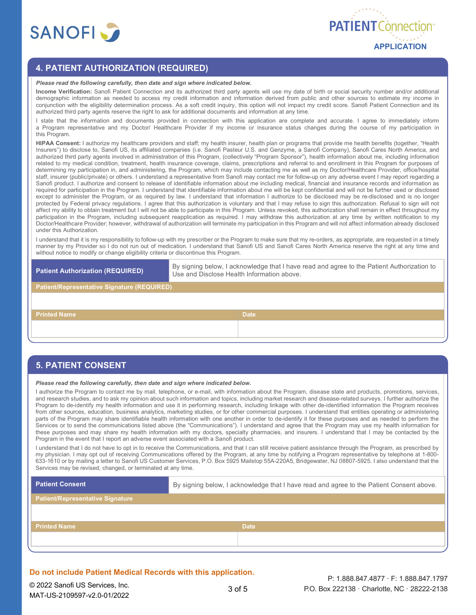

## **4. PATIENT AUTHORIZATION (REQUIRED)**

#### *Please read the following carefully, then date and sign where indicated below.*

**Income Verification:** Sanofi Patient Connection and its authorized third party agents will use my date of birth or social security number and/or additional demographic information as needed to access my credit information and information derived from public and other sources to estimate my income in conjunction with the eligibility determination process. As a soft credit inquiry, this option will not impact my credit score. Sanofi Patient Connection and its authorized third party agents reserve the right to ask for additional documents and information at any time.

I state that the information and documents provided in connection with this application are complete and accurate. I agree to immediately inform a Program representative and my Doctor/ Healthcare Provider if my income or insurance status changes during the course of my participation in this Program.

**HIPAA Consent:** I authorize my healthcare providers and staff; my health insurer, health plan or programs that provide me health benefits (together, "Health Insurers") to disclose to, Sanofi US, its affiliated companies (i.e. Sanofi Pasteur U.S. and Genzyme, a Sanofi Company), Sanofi Cares North America, and authorized third party agents involved in administration of this Program, (collectively "Program Sponsor"), health information about me, including information related to my medical condition, treatment, health insurance coverage, claims, prescriptions and referral to and enrollment in this Program for purposes of determining my participation in, and administering, the Program, which may include contacting me as well as my Doctor/Healthcare Provider, office/hospital staff, insurer (public/private) or others. I understand a representative from Sanofi may contact me for follow-up on any adverse event I may report regarding a Sanofi product. I authorize and consent to release of identifiable information about me including medical, financial and insurance records and information as required for participation in the Program. I understand that identifiable information about me will be kept confidential and will not be further used or disclosed except to administer the Program, or as required by law. I understand that information I authorize to be disclosed may be re-disclosed and is no longer protected by Federal privacy regulations. I agree that this authorization is voluntary and that I may refuse to sign this authorization. Refusal to sign will not affect my ability to obtain treatment but I will not be able to participate in this Program. Unless revoked, this authorization shall remain in effect throughout my participation in the Program, including subsequent reapplication as required. I may withdraw this authorization at any time by written notification to my Doctor/Healthcare Provider; however, withdrawal of authorization will terminate my participation in this Program and will not affect information already disclosed under this Authorization.

I understand that it is my responsibility to follow-up with my prescriber or the Program to make sure that my re-orders, as appropriate, are requested in a timely manner by my Provider so I do not run out of medication. I understand that Sanofi US and Sanofi Cares North America reserve the right at any time and without notice to modify or change eligibility criteria or discontinue this Program.

**Patient Authorization (REQUIRED)** By signing below, I acknowledge that I have read and agree to the Patient Authorization to Use and Disclose Health Information above.

**Patient/Representative Signature (REQUIRED)**

**Printed Name Date Date Date Date Date Date** 

#### **5. PATIENT CONSENT**

*Please read the following carefully, then date and sign where indicated below.*

I authorize the Program to contact me by mail, telephone, or e-mail, with information about the Program, disease state and products, promotions, services, and research studies, and to ask my opinion about such information and topics, including market research and disease-related surveys. I further authorize the Program to de-identify my health information and use it in performing research, including linkage with other de-identified information the Program receives from other sources, education, business analytics, marketing studies, or for other commercial purposes. I understand that entities operating or administering parts of the Program may share identifiable health information with one another in order to de-identify it for these purposes and as needed to perform the Services or to send the communications listed above (the "Communications"). I understand and agree that the Program may use my health information for these purposes and may share my health information with my doctors, specialty pharmacies, and insurers. I understand that I may be contacted by the Program in the event that I report an adverse event associated with a Sanofi product.

I understand that I do not have to opt in to receive the Communications, and that I can still receive patient assistance through the Program, as prescribed by my physician. I may opt out of receiving Communications offered by the Program, at any time by notifying a Program representative by telephone at 1-800- 633-1610 or by mailing a letter to Sanofi US Customer Services, P.O. Box 5925 Mailstop 55A-220A5, Bridgewater, NJ 08807-5925. I also understand that the Services may be revised, changed, or terminated at any time.

| Patient Consent <b>D</b>                | By signing below, I acknowledge that I have read and agree to the Patient Consent above. |  |
|-----------------------------------------|------------------------------------------------------------------------------------------|--|
| <b>Patient/Representative Signature</b> |                                                                                          |  |
|                                         |                                                                                          |  |
| <b>Printed Name</b>                     | <b>Date</b>                                                                              |  |
|                                         |                                                                                          |  |

#### **Do not include Patient Medical Records with this application.**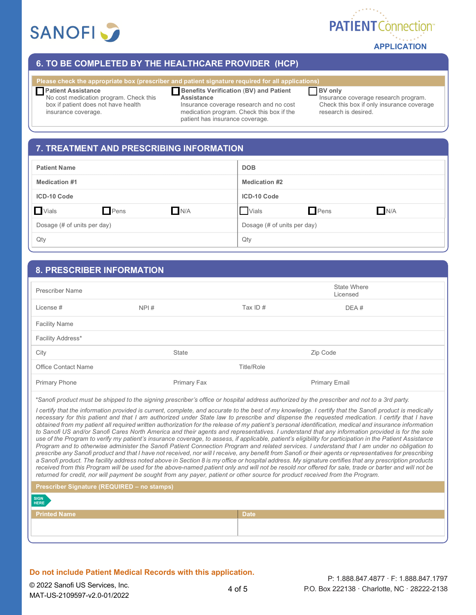



## **6. TO BE COMPLETED BY THE HEALTHCARE PROVIDER (HCP)**

#### **Please check the appropriate box (prescriber and patient signature required for all applications)**

#### **Patient Assistance**

# **Benefits Verification (BV) and Patient**

#### **BV only**

No cost medication program. Check this box if patient does not have health insurance coverage.

**Assistance** Insurance coverage research and no cost medication program. Check this box if the patient has insurance coverage.

Insurance coverage research program. Check this box if only insurance coverage research is desired.

## **7. TREATMENT AND PRESCRIBING INFORMATION**

| <b>DOB</b>                  |
|-----------------------------|
| <b>Medication #2</b>        |
| ICD-10 Code                 |
| Pens<br>N/A<br>Vials        |
| Dosage (# of units per day) |
| Qty                         |
|                             |

## **8. PRESCRIBER INFORMATION**

| Prescriber Name            |             |            | <b>State Where</b><br>Licensed |
|----------------------------|-------------|------------|--------------------------------|
| License #                  | NPI#        | Tax ID $#$ | DEA#                           |
| <b>Facility Name</b>       |             |            |                                |
| Facility Address*          |             |            |                                |
| City                       | State       |            | Zip Code                       |
| <b>Office Contact Name</b> |             | Title/Role |                                |
| <b>Primary Phone</b>       | Primary Fax |            | <b>Primary Email</b>           |

*\*Sanofi product must be shipped to the signing prescriber's office or hospital address authorized by the prescriber and not to a 3rd party.* 

*I certify that the information provided is current, complete, and accurate to the best of my knowledge. I certify that the Sanofi product is medically necessary for this patient and that I am authorized under State law to prescribe and dispense the requested medication. I certify that I have obtained from my patient all required written authorization for the release of my patient's personal identification, medical and insurance information to Sanofi US and/or Sanofi Cares North America and their agents and representatives. I understand that any information provided is for the sole*  use of the Program to verify my patient's insurance coverage, to assess, if applicable, patient's eligibility for participation in the Patient Assistance *Program and to otherwise administer the Sanofi Patient Connection Program and related services. I understand that I am under no obligation to prescribe any Sanofi product and that I have not received, nor will I receive, any benefit from Sanofi or their agents or representatives for prescribing a Sanofi product. The facility address noted above in Section 8 is my office or hospital address. My signature certifies that any prescription products*  received from this Program will be used for the above-named patient only and will not be resold nor offered for sale, trade or barter and will not be *returned for credit, nor will payment be sought from any payer, patient or other source for product received from the Program.*

| <b>Prescriber Signature (REQUIRED - no stamps)</b> |             |  |
|----------------------------------------------------|-------------|--|
| SIGN<br>HERE                                       |             |  |
| <b>Printed Name</b>                                | <b>Date</b> |  |
|                                                    |             |  |
|                                                    |             |  |

#### **Do not include Patient Medical Records with this application.**